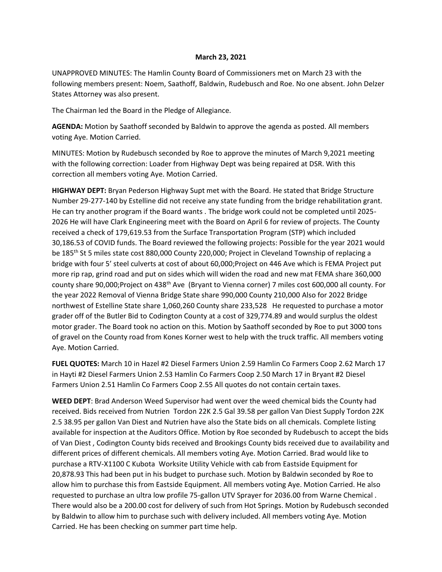## **March 23, 2021**

UNAPPROVED MINUTES: The Hamlin County Board of Commissioners met on March 23 with the following members present: Noem, Saathoff, Baldwin, Rudebusch and Roe. No one absent. John Delzer States Attorney was also present.

The Chairman led the Board in the Pledge of Allegiance.

**AGENDA:** Motion by Saathoff seconded by Baldwin to approve the agenda as posted. All members voting Aye. Motion Carried.

MINUTES: Motion by Rudebusch seconded by Roe to approve the minutes of March 9,2021 meeting with the following correction: Loader from Highway Dept was being repaired at DSR. With this correction all members voting Aye. Motion Carried.

**HIGHWAY DEPT:** Bryan Pederson Highway Supt met with the Board. He stated that Bridge Structure Number 29-277-140 by Estelline did not receive any state funding from the bridge rehabilitation grant. He can try another program if the Board wants . The bridge work could not be completed until 2025- 2026 He will have Clark Engineering meet with the Board on April 6 for review of projects. The County received a check of 179,619.53 from the Surface Transportation Program (STP) which included 30,186.53 of COVID funds. The Board reviewed the following projects: Possible for the year 2021 would be 185<sup>th</sup> St 5 miles state cost 880,000 County 220,000; Project in Cleveland Township of replacing a bridge with four 5' steel culverts at cost of about 60,000;Project on 446 Ave which is FEMA Project put more rip rap, grind road and put on sides which will widen the road and new mat FEMA share 360,000 county share 90,000;Project on 438<sup>th</sup> Ave (Bryant to Vienna corner) 7 miles cost 600,000 all county. For the year 2022 Removal of Vienna Bridge State share 990,000 County 210,000 Also for 2022 Bridge northwest of Estelline State share 1,060,260 County share 233,528 He requested to purchase a motor grader off of the Butler Bid to Codington County at a cost of 329,774.89 and would surplus the oldest motor grader. The Board took no action on this. Motion by Saathoff seconded by Roe to put 3000 tons of gravel on the County road from Kones Korner west to help with the truck traffic. All members voting Aye. Motion Carried.

**FUEL QUOTES:** March 10 in Hazel #2 Diesel Farmers Union 2.59 Hamlin Co Farmers Coop 2.62 March 17 in Hayti #2 Diesel Farmers Union 2.53 Hamlin Co Farmers Coop 2.50 March 17 in Bryant #2 Diesel Farmers Union 2.51 Hamlin Co Farmers Coop 2.55 All quotes do not contain certain taxes.

**WEED DEPT**: Brad Anderson Weed Supervisor had went over the weed chemical bids the County had received. Bids received from Nutrien Tordon 22K 2.5 Gal 39.58 per gallon Van Diest Supply Tordon 22K 2.5 38.95 per gallon Van Diest and Nutrien have also the State bids on all chemicals. Complete listing available for inspection at the Auditors Office. Motion by Roe seconded by Rudebusch to accept the bids of Van Diest , Codington County bids received and Brookings County bids received due to availability and different prices of different chemicals. All members voting Aye. Motion Carried. Brad would like to purchase a RTV-X1100 C Kubota Worksite Utility Vehicle with cab from Eastside Equipment for 20,878.93 This had been put in his budget to purchase such. Motion by Baldwin seconded by Roe to allow him to purchase this from Eastside Equipment. All members voting Aye. Motion Carried. He also requested to purchase an ultra low profile 75-gallon UTV Sprayer for 2036.00 from Warne Chemical . There would also be a 200.00 cost for delivery of such from Hot Springs. Motion by Rudebusch seconded by Baldwin to allow him to purchase such with delivery included. All members voting Aye. Motion Carried. He has been checking on summer part time help.